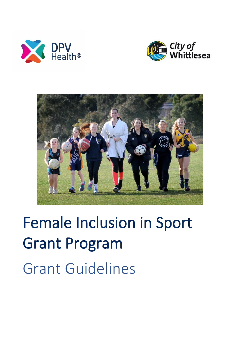





# Female Inclusion in Sport Grant Program Grant Guidelines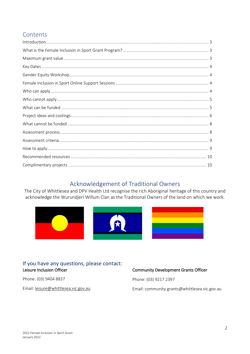# Contents

# Acknowledgement of Traditional Owners

The City of Whittlesea and DPV Health Ltd recognise the rich Aboriginal heritage of this country and acknowledge the Wurundjeri Willum Clan as the Traditional Owners of the land on which we work.



### If you have any questions, please contact: Leisure Inclusion Officer

Phone: (03) 9404 8837

Email: leisure@whittlesea.vic.gov.au

#### **Community Development Grants Officer**

Phone: (03) 9217 2397

Email: community.grants@whittlesea.vic.gov.au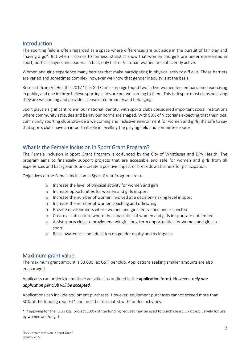# <span id="page-2-0"></span>Introduction

The sporting field is often regarded as a space where differences are put aside in the pursuit of fair play and "having a go". But when it comes to fairness, statistics show that women and girls are underrepresented in sport, both as players and leaders. In fact, only half of Victorian women are sufficiently active.

Women and girls experience many barriers that make participating in physical activity difficult. These barriers are varied and sometimes complex, however we know that gender inequity is at the basis.

Research from VicHealth's 2012 'This Girl Can' campaign found two in five women feel embarrassed exercising in public, and one in three believe sporting clubs are not welcoming to them. This is despite most clubs believing they are welcoming and provide a sense of community and belonging.

Sport plays a significant role in our national identity, with sports clubs considered important social institutions where community attitudes and behaviour norms are shaped. With 98% of Victorians expecting that their local community sporting clubs provide a welcoming and inclusive environment for women and girls, it's safe to say that sports clubs have an important role in levelling the playing field and committee rooms.

# <span id="page-2-1"></span>What is the Female Inclusion in Sport Grant Program?

The Female Inclusion in Sport Grant Program is co-funded by the City of Whittlesea and DPV Health. The program aims to financially support projects that are accessible and safe for women and girls from all experiences and backgrounds and create a positive impact or break down barriers for participation.

Objectives of the Female Inclusion in Sport Grant Program are to:

- o Increase the level of physical activity for women and girls
- o Increase opportunities for women and girls in sport
- o Increase the number of women involved at a decision-making level in sport
- o Increase the number of women coaching and officiating
- o Provide environments where women and girls feel valued and respected
- o Create a club culture where the capabilities of women and girls in sport are not limited
- o Assist sports clubs to provide meaningful long-term opportunities for women and girls in sport
- o Raise awareness and education on gender equity and its impacts

#### <span id="page-2-2"></span>Maximum grant value

The maximum grant amount is \$3,000 (ex GST) per club. Applications seeking smaller amounts are also encouraged.

#### Applicants can undertake multiple activities (as outlined in the application form). However, *only one application per club will be accepted.*

Applications can include equipment purchases. However, equipment purchases cannot exceed more than 50% of the funding request\* and must be associated with funded activities.

\* If applying for the 'Club kits' project 100% of the funding request may be used to purchase a club kit exclusively for use by women and/or girls.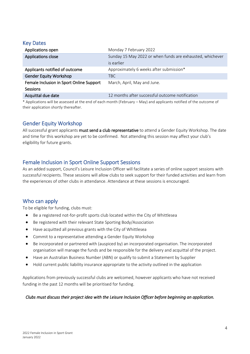## <span id="page-3-0"></span>Key Dates

| Applications open                        | Monday 7 February 2022                                                                                            |
|------------------------------------------|-------------------------------------------------------------------------------------------------------------------|
| Applications close                       | Sunday 15 May 2022 or when funds are exhausted, whichever                                                         |
|                                          | is earlier                                                                                                        |
| Applicants notified of outcome           | Approximately 6 weeks after submission*                                                                           |
| <b>Gender Equity Workshop</b>            | TBC.                                                                                                              |
| Female Inclusion in Sport Online Support | March, April, May and June.                                                                                       |
| Sessions                                 |                                                                                                                   |
| Acquittal due date                       | 12 months after successful outcome notification                                                                   |
|                                          | * Anglications will be assessed at the end of seek menth (Echrysny Mau) and anglicants potitied of the outcome of |

Applications will be assessed at the end of each month (February – May) and applicants notified of the outcome of their application shortly thereafter.

# <span id="page-3-1"></span>Gender Equity Workshop

All successful grant applicants must send a club representative to attend a Gender Equity Workshop. The date and time for this workshop are yet to be confirmed. Not attending this session may affect your club's eligibility for future grants.

# <span id="page-3-2"></span>Female Inclusion in Sport Online Support Sessions

As an added support, Council's Leisure Inclusion Officer will facilitate a series of online support sessions with successful recipients. These sessions will allow clubs to seek support for their funded activities and learn from the experiences of other clubs in attendance. Attendance at these sessions is encouraged.

# <span id="page-3-3"></span>Who can apply

To be eligible for funding, clubs must:

- Be a registered not-for-profit sports club located within the City of Whittlesea
- Be registered with their relevant State Sporting Body/Association
- Have acquitted all previous grants with the City of Whittlesea
- Commit to a representative attending a Gender Equity Workshop
- Be incorporated or partnered with (auspiced by) an incorporated organisation. The incorporated organisation will manage the funds and be responsible for the delivery and acquittal of the project.
- Have an Australian Business Number (ABN) or qualify to submit a Statement by Supplier
- Hold current public liability insurance appropriate to the activity outlined in the application

Applications from previously successful clubs are welcomed, however applicants who have not received funding in the past 12 months will be prioritised for funding.

#### *Clubs must discuss their project idea with the Leisure Inclusion Officer before beginning an application.*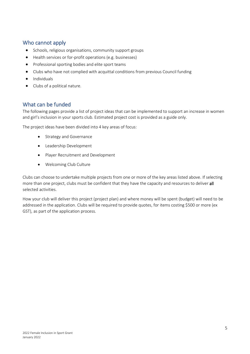# <span id="page-4-0"></span>Who cannot apply

- Schools, religious organisations, community support groups
- Health services or for-profit operations (e.g. businesses)
- Professional sporting bodies and elite sport teams
- Clubs who have not complied with acquittal conditions from previous Council funding
- Individuals
- Clubs of a political nature.

### <span id="page-4-1"></span>What can be funded

The following pages provide a list of project ideas that can be implemented to support an increase in women and girl's inclusion in your sports club. Estimated project cost is provided as a guide only.

The project ideas have been divided into 4 key areas of focus:

- Strategy and Governance
- Leadership Development
- Player Recruitment and Development
- Welcoming Club Culture

Clubs can choose to undertake multiple projects from one or more of the key areas listed above. If selecting more than one project, clubs must be confident that they have the capacity and resources to deliver all selected activities.

How your club will deliver this project (project plan) and where money will be spent (budget) will need to be addressed in the application. Clubs will be required to provide quotes, for items costing \$500 or more (ex GST), as part of the application process.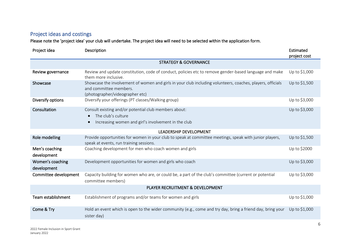# Project ideas and costings

Please note the 'project idea' your club will undertake. The project idea will need to be selected within the application form.

<span id="page-5-0"></span>

| Project idea                     | Description                                                                                                                                                             | Estimated<br>project cost |  |  |  |  |
|----------------------------------|-------------------------------------------------------------------------------------------------------------------------------------------------------------------------|---------------------------|--|--|--|--|
|                                  | <b>STRATEGY &amp; GOVERNANCE</b>                                                                                                                                        |                           |  |  |  |  |
| Review governance                | Review and update constitution, code of conduct, policies etc to remove gender-based language and make<br>them more inclusive.                                          | Up to \$1,000             |  |  |  |  |
| Showcase                         | Showcase the involvement of women and girls in your club including volunteers, coaches, players, officials<br>and committee members.<br>(photographer/videographer etc) | Up to \$1,500             |  |  |  |  |
| Diversify options                | Diversify your offerings (PT classes/Walking group)                                                                                                                     | Up to \$3,000             |  |  |  |  |
| Consultation                     | Consult existing and/or potential club members about:<br>The club's culture<br>$\bullet$<br>Increasing women and girl's involvement in the club<br>$\bullet$            | Up to \$3,000             |  |  |  |  |
| <b>LEADERSHIP DEVELOPMENT</b>    |                                                                                                                                                                         |                           |  |  |  |  |
| Role modelling                   | Provide opportunities for women in your club to speak at committee meetings, speak with junior players,<br>speak at events, run training sessions.                      | Up to \$1,500             |  |  |  |  |
| Men's coaching<br>development    | Coaching development for men who coach women and girls                                                                                                                  | Up to \$2000              |  |  |  |  |
| Women's coaching<br>development  | Development opportunities for women and girls who coach                                                                                                                 | Up to \$3,000             |  |  |  |  |
| Committee development            | Capacity building for women who are, or could be, a part of the club's committee (current or potential<br>committee members)                                            | Up to \$3,000             |  |  |  |  |
| PLAYER RECRUITMENT & DEVELOPMENT |                                                                                                                                                                         |                           |  |  |  |  |
| Team establishment               | Establishment of programs and/or teams for women and girls                                                                                                              | Up to \$1,000             |  |  |  |  |
| Come & Try                       | Hold an event which is open to the wider community (e.g., come and try day, bring a friend day, bring your<br>sister day)                                               | Up to \$1,000             |  |  |  |  |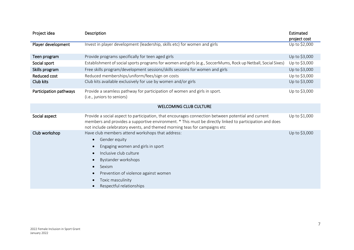| Project idea           | Description                                                                                                                                                                                                                                                                                | Estimated<br>project cost |
|------------------------|--------------------------------------------------------------------------------------------------------------------------------------------------------------------------------------------------------------------------------------------------------------------------------------------|---------------------------|
| Player development     | Invest in player development (leadership, skills etc) for women and girls                                                                                                                                                                                                                  | Up to \$2,000             |
| Teen program           | Provide programs specifically for teen aged girls                                                                                                                                                                                                                                          | Up to \$3,000             |
| Social sport           | Establishment of social sports programs for women and girls (e.g., SoccerMums, Rock up Netball, Social Sixes)                                                                                                                                                                              | Up to \$3,000             |
| Skills program         | Free skills program/development sessions/skills sessions for women and girls                                                                                                                                                                                                               | Up to \$3,000             |
| Reduced cost           | Reduced memberships/uniform/fees/sign on costs                                                                                                                                                                                                                                             | Up to \$3,000             |
| Club kits              | Club kits available exclusively for use by women and/or girls                                                                                                                                                                                                                              | Up to \$3,000             |
| Participation pathways | Provide a seamless pathway for participation of women and girls in sport.<br>(i.e., juniors to seniors)                                                                                                                                                                                    | Up to \$3,000             |
|                        | <b>WELCOMING CLUB CULTURE</b>                                                                                                                                                                                                                                                              |                           |
| Social aspect          | Provide a social aspect to participation, that encourages connection between potential and current<br>members and provides a supportive environment. * This must be directly linked to participation and does<br>not include celebratory events, and themed morning teas for campaigns etc | Up to \$1,000             |
| Club workshop          | Have club members attend workshops that address:<br>Gender equity<br>$\bullet$<br>Engaging women and girls in sport<br>Inclusive club culture<br>Bystander workshops<br>Sexism<br>$\bullet$<br>Prevention of violence against women<br>Toxic masculinity<br>Respectful relationships       | Up to \$3,000             |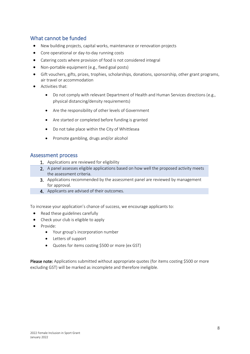# <span id="page-7-0"></span>What cannot be funded

- New building projects, capital works, maintenance or renovation projects
- Core operational or day-to-day running costs
- Catering costs where provision of food is not considered integral
- Non-portable equipment (e.g., fixed goal posts)
- Gift vouchers, gifts, prizes, trophies, scholarships, donations, sponsorship, other grant programs, air travel or accommodation
- Activities that:
	- Do not comply with relevant Department of Health and Human Services directions (e.g., physical distancing/density requirements)
	- Are the responsibility of other levels of Government
	- Are started or completed before funding is granted
	- Do not take place within the City of Whittlesea
	- Promote gambling, drugs and/or alcohol

#### <span id="page-7-1"></span>Assessment process

- 1. Applications are reviewed for eligibility
- 2. A panel assesses eligible applications based on how well the proposed activity meets the assessment criteria.
- 3. Applications recommended by the assessment panel are reviewed by management for approval.
- 4. Applicants are advised of their outcomes.

To increase your application's chance of success, we encourage applicants to:

- Read these guidelines carefully
- Check your club is eligible to apply
- Provide:
	- Your group's incorporation number
	- Letters of support
	- Quotes for items costing \$500 or more (ex GST)

Please note: Applications submitted without appropriate quotes (for items costing \$500 or more excluding GST) will be marked as incomplete and therefore ineligible.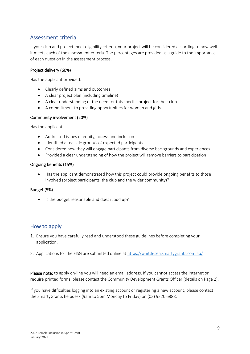# <span id="page-8-0"></span>Assessment criteria

If your club and project meet eligibility criteria, your project will be considered according to how well it meets each of the assessment criteria. The percentages are provided as a guide to the importance of each question in the assessment process.

#### Project delivery (60%)

Has the applicant provided:

- Clearly defined aims and outcomes
- A clear project plan (including timeline)
- A clear understanding of the need for this specific project for their club
- A commitment to providing opportunities for women and girls

#### Community involvement (20%)

Has the applicant:

- Addressed issues of equity, access and inclusion
- Identified a realistic group/s of expected participants
- Considered how they will engage participants from diverse backgrounds and experiences
- Provided a clear understanding of how the project will remove barriers to participation

#### Ongoing benefits (15%)

• Has the applicant demonstrated how this project could provide ongoing benefits to those involved (project participants, the club and the wider community)?

#### Budget (5%)

• Is the budget reasonable and does it add up?

#### <span id="page-8-1"></span>How to apply

- 1. Ensure you have carefully read and understood these guidelines before completing your application.
- 2. Applications for the FISG are submitted online at<https://whittlesea.smartygrants.com.au/>

Please note: to apply on-line you will need an email address. If you cannot access the internet or require printed forms, please contact the Community Development Grants Officer (details on Page 2).

If you have difficulties logging into an existing account or registering a new account, please contact the SmartyGrants helpdesk (9am to 5pm Monday to Friday) on (03) 9320 6888.